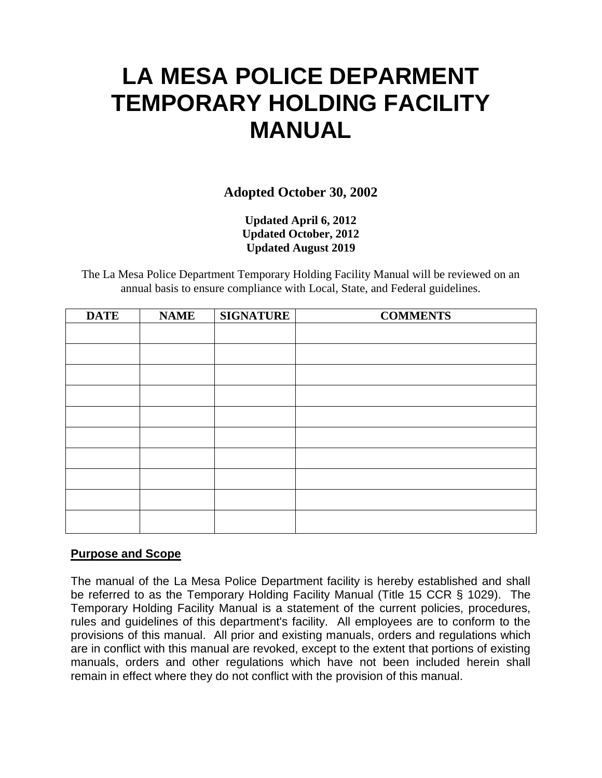# **LA MESA POLICE DEPARMENT TEMPORARY HOLDING FACILITY MANUAL**

**Adopted October 30, 2002**

**Updated April 6, 2012 Updated October, 2012 Updated August 2019**

The La Mesa Police Department Temporary Holding Facility Manual will be reviewed on an annual basis to ensure compliance with Local, State, and Federal guidelines.

| <b>DATE</b> | <b>NAME</b> | <b>SIGNATURE</b> | <b>COMMENTS</b> |
|-------------|-------------|------------------|-----------------|
|             |             |                  |                 |
|             |             |                  |                 |
|             |             |                  |                 |
|             |             |                  |                 |
|             |             |                  |                 |
|             |             |                  |                 |
|             |             |                  |                 |
|             |             |                  |                 |
|             |             |                  |                 |
|             |             |                  |                 |

# **Purpose and Scope**

The manual of the La Mesa Police Department facility is hereby established and shall be referred to as the Temporary Holding Facility Manual (Title 15 CCR § 1029). The Temporary Holding Facility Manual is a statement of the current policies, procedures, rules and guidelines of this department's facility. All employees are to conform to the provisions of this manual. All prior and existing manuals, orders and regulations which are in conflict with this manual are revoked, except to the extent that portions of existing manuals, orders and other regulations which have not been included herein shall remain in effect where they do not conflict with the provision of this manual.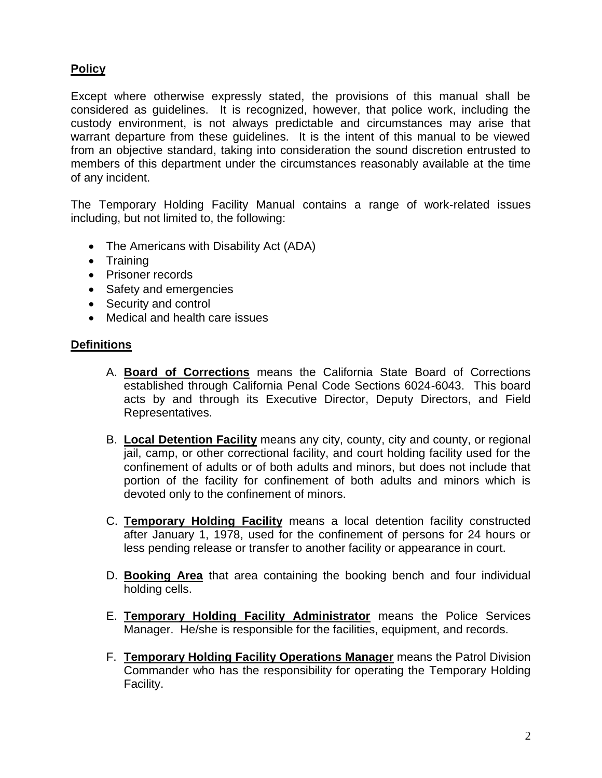# **Policy**

Except where otherwise expressly stated, the provisions of this manual shall be considered as guidelines. It is recognized, however, that police work, including the custody environment, is not always predictable and circumstances may arise that warrant departure from these guidelines. It is the intent of this manual to be viewed from an objective standard, taking into consideration the sound discretion entrusted to members of this department under the circumstances reasonably available at the time of any incident.

The Temporary Holding Facility Manual contains a range of work-related issues including, but not limited to, the following:

- The Americans with Disability Act (ADA)
- Training
- Prisoner records
- Safety and emergencies
- Security and control
- Medical and health care issues

## **Definitions**

- A. **Board of Corrections** means the California State Board of Corrections established through California Penal Code Sections 6024-6043. This board acts by and through its Executive Director, Deputy Directors, and Field Representatives.
- B. **Local Detention Facility** means any city, county, city and county, or regional jail, camp, or other correctional facility, and court holding facility used for the confinement of adults or of both adults and minors, but does not include that portion of the facility for confinement of both adults and minors which is devoted only to the confinement of minors.
- C. **Temporary Holding Facility** means a local detention facility constructed after January 1, 1978, used for the confinement of persons for 24 hours or less pending release or transfer to another facility or appearance in court.
- D. **Booking Area** that area containing the booking bench and four individual holding cells.
- E. **Temporary Holding Facility Administrator** means the Police Services Manager. He/she is responsible for the facilities, equipment, and records.
- F. **Temporary Holding Facility Operations Manager** means the Patrol Division Commander who has the responsibility for operating the Temporary Holding Facility.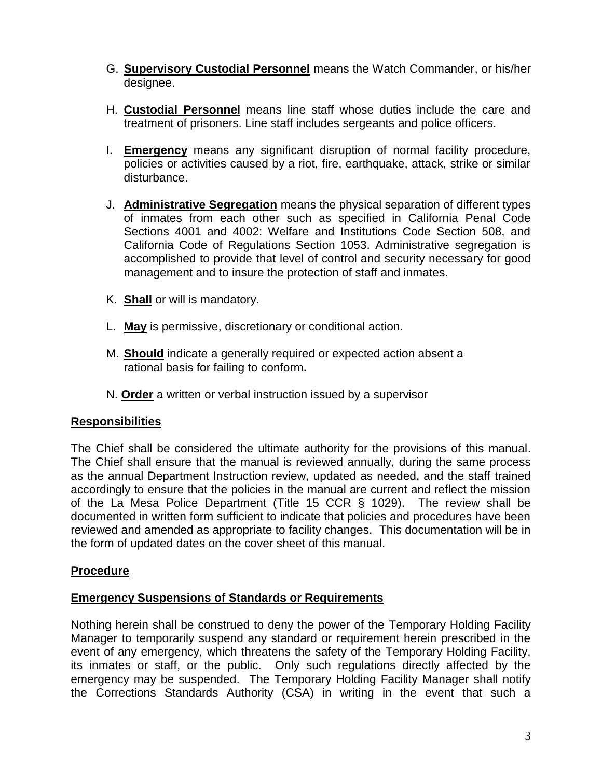- G. **Supervisory Custodial Personnel** means the Watch Commander, or his/her designee.
- H. **Custodial Personnel** means line staff whose duties include the care and treatment of prisoners. Line staff includes sergeants and police officers.
- I. **Emergency** means any significant disruption of normal facility procedure, policies or activities caused by a riot, fire, earthquake, attack, strike or similar disturbance.
- J. **Administrative Segregation** means the physical separation of different types of inmates from each other such as specified in California Penal Code Sections 4001 and 4002: Welfare and Institutions Code Section 508, and California Code of Regulations Section 1053. Administrative segregation is accomplished to provide that level of control and security necessary for good management and to insure the protection of staff and inmates.
- K. **Shall** or will is mandatory.
- L. **May** is permissive, discretionary or conditional action.
- M. **Should** indicate a generally required or expected action absent a rational basis for failing to conform**.**
- N. **Order** a written or verbal instruction issued by a supervisor

# **Responsibilities**

The Chief shall be considered the ultimate authority for the provisions of this manual. The Chief shall ensure that the manual is reviewed annually, during the same process as the annual Department Instruction review, updated as needed, and the staff trained accordingly to ensure that the policies in the manual are current and reflect the mission of the La Mesa Police Department (Title 15 CCR § 1029). The review shall be documented in written form sufficient to indicate that policies and procedures have been reviewed and amended as appropriate to facility changes. This documentation will be in the form of updated dates on the cover sheet of this manual.

# **Procedure**

## **Emergency Suspensions of Standards or Requirements**

Nothing herein shall be construed to deny the power of the Temporary Holding Facility Manager to temporarily suspend any standard or requirement herein prescribed in the event of any emergency, which threatens the safety of the Temporary Holding Facility, its inmates or staff, or the public. Only such regulations directly affected by the emergency may be suspended. The Temporary Holding Facility Manager shall notify the Corrections Standards Authority (CSA) in writing in the event that such a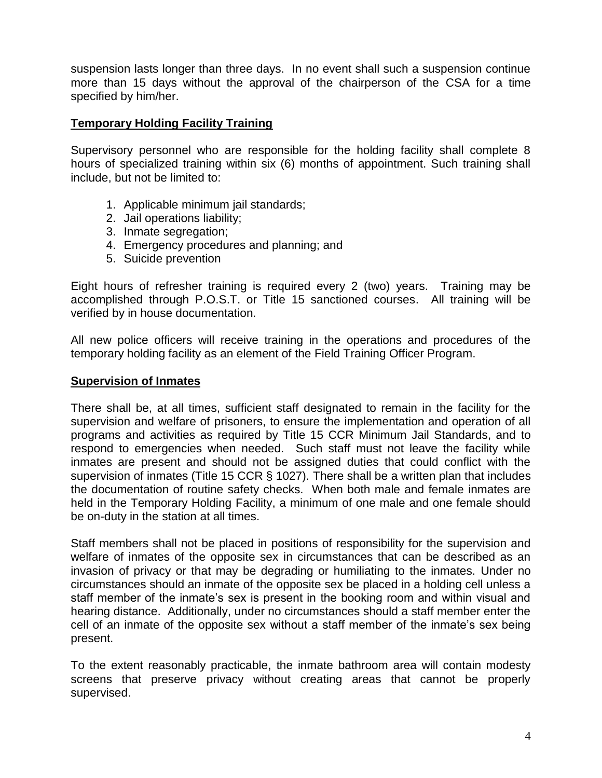suspension lasts longer than three days. In no event shall such a suspension continue more than 15 days without the approval of the chairperson of the CSA for a time specified by him/her.

# **Temporary Holding Facility Training**

Supervisory personnel who are responsible for the holding facility shall complete 8 hours of specialized training within six (6) months of appointment. Such training shall include, but not be limited to:

- 1. Applicable minimum jail standards;
- 2. Jail operations liability;
- 3. Inmate segregation;
- 4. Emergency procedures and planning; and
- 5. Suicide prevention

Eight hours of refresher training is required every 2 (two) years. Training may be accomplished through P.O.S.T. or Title 15 sanctioned courses. All training will be verified by in house documentation*.*

All new police officers will receive training in the operations and procedures of the temporary holding facility as an element of the Field Training Officer Program.

## **Supervision of Inmates**

There shall be, at all times, sufficient staff designated to remain in the facility for the supervision and welfare of prisoners, to ensure the implementation and operation of all programs and activities as required by Title 15 CCR Minimum Jail Standards, and to respond to emergencies when needed. Such staff must not leave the facility while inmates are present and should not be assigned duties that could conflict with the supervision of inmates (Title 15 CCR § 1027). There shall be a written plan that includes the documentation of routine safety checks. When both male and female inmates are held in the Temporary Holding Facility, a minimum of one male and one female should be on-duty in the station at all times.

Staff members shall not be placed in positions of responsibility for the supervision and welfare of inmates of the opposite sex in circumstances that can be described as an invasion of privacy or that may be degrading or humiliating to the inmates. Under no circumstances should an inmate of the opposite sex be placed in a holding cell unless a staff member of the inmate's sex is present in the booking room and within visual and hearing distance. Additionally, under no circumstances should a staff member enter the cell of an inmate of the opposite sex without a staff member of the inmate's sex being present.

To the extent reasonably practicable, the inmate bathroom area will contain modesty screens that preserve privacy without creating areas that cannot be properly supervised.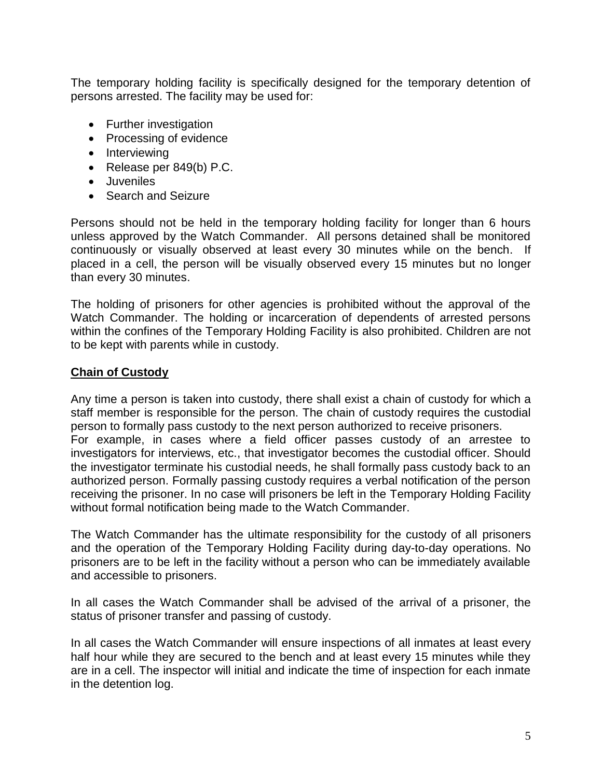The temporary holding facility is specifically designed for the temporary detention of persons arrested. The facility may be used for:

- Further investigation
- Processing of evidence
- Interviewing
- Release per 849(b) P.C.
- Juveniles
- Search and Seizure

Persons should not be held in the temporary holding facility for longer than 6 hours unless approved by the Watch Commander. All persons detained shall be monitored continuously or visually observed at least every 30 minutes while on the bench. If placed in a cell, the person will be visually observed every 15 minutes but no longer than every 30 minutes.

The holding of prisoners for other agencies is prohibited without the approval of the Watch Commander. The holding or incarceration of dependents of arrested persons within the confines of the Temporary Holding Facility is also prohibited. Children are not to be kept with parents while in custody.

## **Chain of Custody**

Any time a person is taken into custody, there shall exist a chain of custody for which a staff member is responsible for the person. The chain of custody requires the custodial person to formally pass custody to the next person authorized to receive prisoners. For example, in cases where a field officer passes custody of an arrestee to investigators for interviews, etc., that investigator becomes the custodial officer. Should the investigator terminate his custodial needs, he shall formally pass custody back to an authorized person. Formally passing custody requires a verbal notification of the person receiving the prisoner. In no case will prisoners be left in the Temporary Holding Facility without formal notification being made to the Watch Commander.

The Watch Commander has the ultimate responsibility for the custody of all prisoners and the operation of the Temporary Holding Facility during day-to-day operations. No prisoners are to be left in the facility without a person who can be immediately available and accessible to prisoners.

In all cases the Watch Commander shall be advised of the arrival of a prisoner, the status of prisoner transfer and passing of custody.

In all cases the Watch Commander will ensure inspections of all inmates at least every half hour while they are secured to the bench and at least every 15 minutes while they are in a cell. The inspector will initial and indicate the time of inspection for each inmate in the detention log.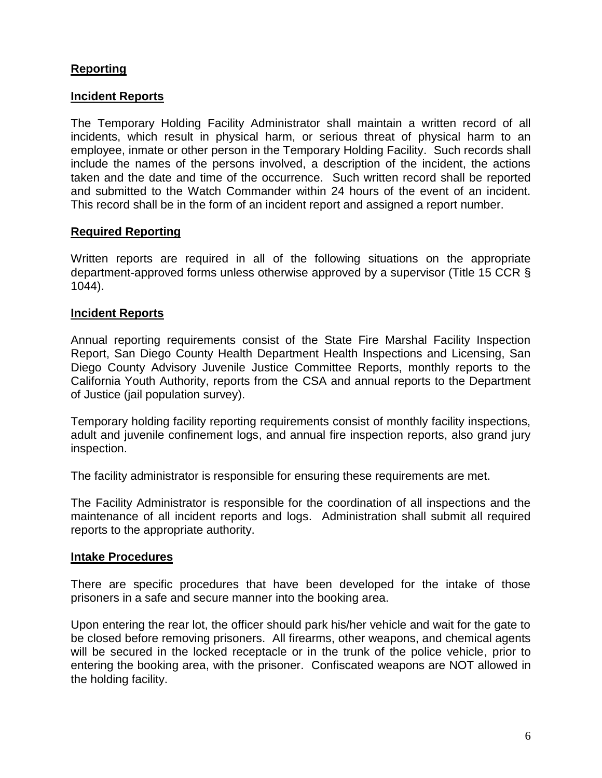# **Reporting**

## **Incident Reports**

The Temporary Holding Facility Administrator shall maintain a written record of all incidents, which result in physical harm, or serious threat of physical harm to an employee, inmate or other person in the Temporary Holding Facility. Such records shall include the names of the persons involved, a description of the incident, the actions taken and the date and time of the occurrence. Such written record shall be reported and submitted to the Watch Commander within 24 hours of the event of an incident. This record shall be in the form of an incident report and assigned a report number.

#### **Required Reporting**

Written reports are required in all of the following situations on the appropriate department-approved forms unless otherwise approved by a supervisor (Title 15 CCR § 1044).

#### **Incident Reports**

Annual reporting requirements consist of the State Fire Marshal Facility Inspection Report, San Diego County Health Department Health Inspections and Licensing, San Diego County Advisory Juvenile Justice Committee Reports, monthly reports to the California Youth Authority, reports from the CSA and annual reports to the Department of Justice (jail population survey).

Temporary holding facility reporting requirements consist of monthly facility inspections, adult and juvenile confinement logs, and annual fire inspection reports, also grand jury inspection.

The facility administrator is responsible for ensuring these requirements are met.

The Facility Administrator is responsible for the coordination of all inspections and the maintenance of all incident reports and logs. Administration shall submit all required reports to the appropriate authority.

#### **Intake Procedures**

There are specific procedures that have been developed for the intake of those prisoners in a safe and secure manner into the booking area.

Upon entering the rear lot, the officer should park his/her vehicle and wait for the gate to be closed before removing prisoners. All firearms, other weapons, and chemical agents will be secured in the locked receptacle or in the trunk of the police vehicle, prior to entering the booking area, with the prisoner. Confiscated weapons are NOT allowed in the holding facility.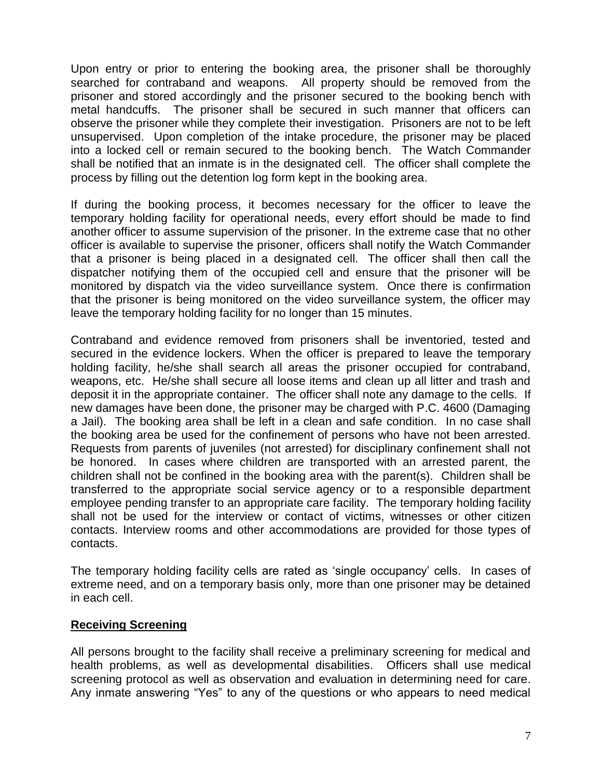Upon entry or prior to entering the booking area, the prisoner shall be thoroughly searched for contraband and weapons. All property should be removed from the prisoner and stored accordingly and the prisoner secured to the booking bench with metal handcuffs. The prisoner shall be secured in such manner that officers can observe the prisoner while they complete their investigation. Prisoners are not to be left unsupervised. Upon completion of the intake procedure, the prisoner may be placed into a locked cell or remain secured to the booking bench. The Watch Commander shall be notified that an inmate is in the designated cell. The officer shall complete the process by filling out the detention log form kept in the booking area.

If during the booking process, it becomes necessary for the officer to leave the temporary holding facility for operational needs, every effort should be made to find another officer to assume supervision of the prisoner. In the extreme case that no other officer is available to supervise the prisoner, officers shall notify the Watch Commander that a prisoner is being placed in a designated cell. The officer shall then call the dispatcher notifying them of the occupied cell and ensure that the prisoner will be monitored by dispatch via the video surveillance system. Once there is confirmation that the prisoner is being monitored on the video surveillance system, the officer may leave the temporary holding facility for no longer than 15 minutes.

Contraband and evidence removed from prisoners shall be inventoried, tested and secured in the evidence lockers. When the officer is prepared to leave the temporary holding facility, he/she shall search all areas the prisoner occupied for contraband, weapons, etc. He/she shall secure all loose items and clean up all litter and trash and deposit it in the appropriate container. The officer shall note any damage to the cells. If new damages have been done, the prisoner may be charged with P.C. 4600 (Damaging a Jail). The booking area shall be left in a clean and safe condition. In no case shall the booking area be used for the confinement of persons who have not been arrested. Requests from parents of juveniles (not arrested) for disciplinary confinement shall not be honored. In cases where children are transported with an arrested parent, the children shall not be confined in the booking area with the parent(s). Children shall be transferred to the appropriate social service agency or to a responsible department employee pending transfer to an appropriate care facility. The temporary holding facility shall not be used for the interview or contact of victims, witnesses or other citizen contacts. Interview rooms and other accommodations are provided for those types of contacts.

The temporary holding facility cells are rated as 'single occupancy' cells. In cases of extreme need, and on a temporary basis only, more than one prisoner may be detained in each cell.

## **Receiving Screening**

All persons brought to the facility shall receive a preliminary screening for medical and health problems, as well as developmental disabilities. Officers shall use medical screening protocol as well as observation and evaluation in determining need for care. Any inmate answering "Yes" to any of the questions or who appears to need medical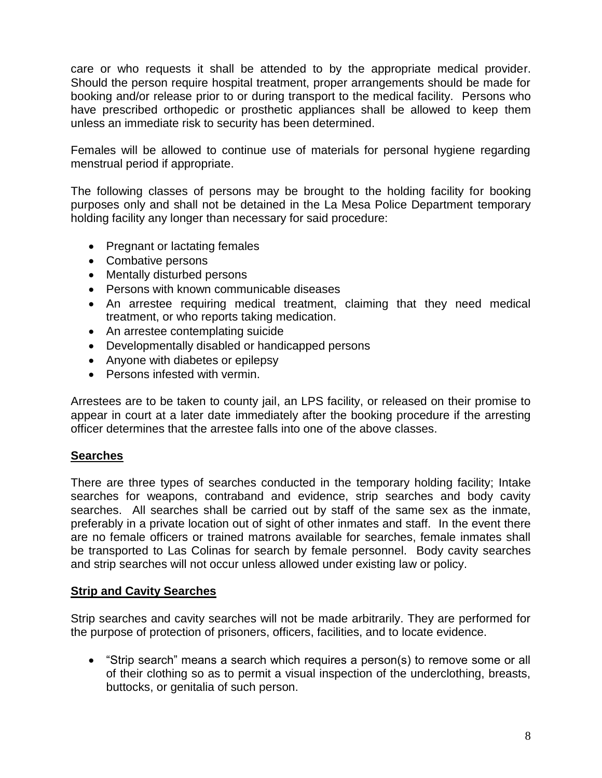care or who requests it shall be attended to by the appropriate medical provider. Should the person require hospital treatment, proper arrangements should be made for booking and/or release prior to or during transport to the medical facility. Persons who have prescribed orthopedic or prosthetic appliances shall be allowed to keep them unless an immediate risk to security has been determined.

Females will be allowed to continue use of materials for personal hygiene regarding menstrual period if appropriate.

The following classes of persons may be brought to the holding facility for booking purposes only and shall not be detained in the La Mesa Police Department temporary holding facility any longer than necessary for said procedure:

- Pregnant or lactating females
- Combative persons
- Mentally disturbed persons
- Persons with known communicable diseases
- An arrestee requiring medical treatment, claiming that they need medical treatment, or who reports taking medication.
- An arrestee contemplating suicide
- Developmentally disabled or handicapped persons
- Anyone with diabetes or epilepsy
- Persons infested with vermin.

Arrestees are to be taken to county jail, an LPS facility, or released on their promise to appear in court at a later date immediately after the booking procedure if the arresting officer determines that the arrestee falls into one of the above classes.

## **Searches**

There are three types of searches conducted in the temporary holding facility; Intake searches for weapons, contraband and evidence, strip searches and body cavity searches. All searches shall be carried out by staff of the same sex as the inmate, preferably in a private location out of sight of other inmates and staff. In the event there are no female officers or trained matrons available for searches, female inmates shall be transported to Las Colinas for search by female personnel. Body cavity searches and strip searches will not occur unless allowed under existing law or policy.

## **Strip and Cavity Searches**

Strip searches and cavity searches will not be made arbitrarily. They are performed for the purpose of protection of prisoners, officers, facilities, and to locate evidence.

 "Strip search" means a search which requires a person(s) to remove some or all of their clothing so as to permit a visual inspection of the underclothing, breasts, buttocks, or genitalia of such person.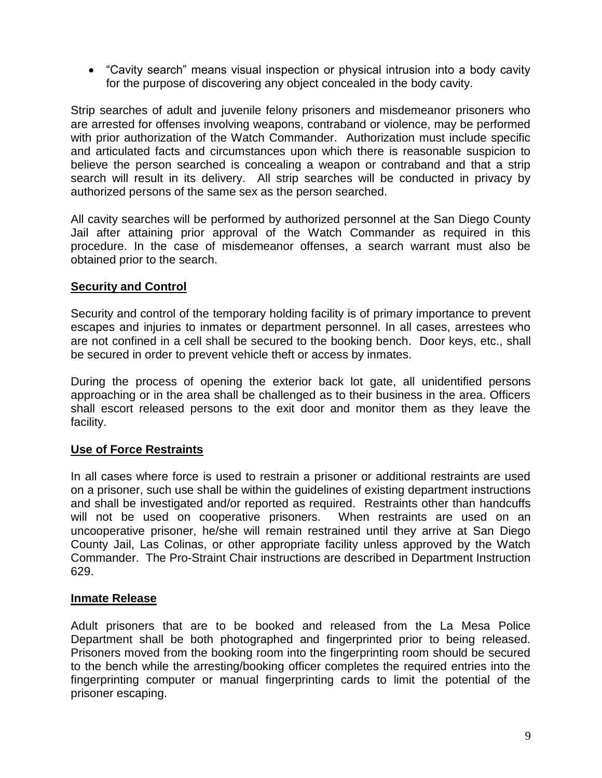"Cavity search" means visual inspection or physical intrusion into a body cavity for the purpose of discovering any object concealed in the body cavity.

Strip searches of adult and juvenile felony prisoners and misdemeanor prisoners who are arrested for offenses involving weapons, contraband or violence, may be performed with prior authorization of the Watch Commander. Authorization must include specific and articulated facts and circumstances upon which there is reasonable suspicion to believe the person searched is concealing a weapon or contraband and that a strip search will result in its delivery. All strip searches will be conducted in privacy by authorized persons of the same sex as the person searched.

All cavity searches will be performed by authorized personnel at the San Diego County Jail after attaining prior approval of the Watch Commander as required in this procedure. In the case of misdemeanor offenses, a search warrant must also be obtained prior to the search.

## **Security and Control**

Security and control of the temporary holding facility is of primary importance to prevent escapes and injuries to inmates or department personnel. In all cases, arrestees who are not confined in a cell shall be secured to the booking bench. Door keys, etc., shall be secured in order to prevent vehicle theft or access by inmates.

During the process of opening the exterior back lot gate, all unidentified persons approaching or in the area shall be challenged as to their business in the area. Officers shall escort released persons to the exit door and monitor them as they leave the facility.

# **Use of Force Restraints**

In all cases where force is used to restrain a prisoner or additional restraints are used on a prisoner, such use shall be within the guidelines of existing department instructions and shall be investigated and/or reported as required. Restraints other than handcuffs will not be used on cooperative prisoners. When restraints are used on an uncooperative prisoner, he/she will remain restrained until they arrive at San Diego County Jail, Las Colinas, or other appropriate facility unless approved by the Watch Commander. The Pro-Straint Chair instructions are described in Department Instruction 629.

## **Inmate Release**

Adult prisoners that are to be booked and released from the La Mesa Police Department shall be both photographed and fingerprinted prior to being released. Prisoners moved from the booking room into the fingerprinting room should be secured to the bench while the arresting/booking officer completes the required entries into the fingerprinting computer or manual fingerprinting cards to limit the potential of the prisoner escaping.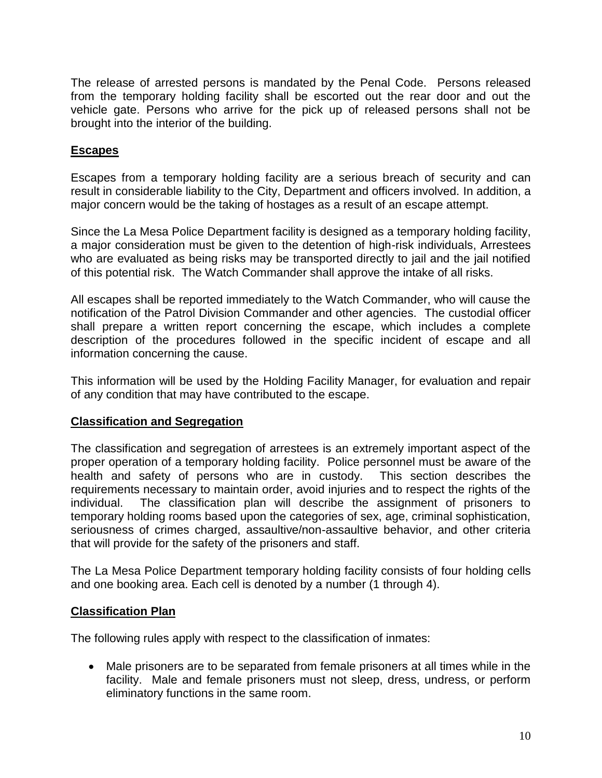The release of arrested persons is mandated by the Penal Code. Persons released from the temporary holding facility shall be escorted out the rear door and out the vehicle gate. Persons who arrive for the pick up of released persons shall not be brought into the interior of the building.

## **Escapes**

Escapes from a temporary holding facility are a serious breach of security and can result in considerable liability to the City, Department and officers involved. In addition, a major concern would be the taking of hostages as a result of an escape attempt.

Since the La Mesa Police Department facility is designed as a temporary holding facility, a major consideration must be given to the detention of high-risk individuals, Arrestees who are evaluated as being risks may be transported directly to jail and the jail notified of this potential risk. The Watch Commander shall approve the intake of all risks.

All escapes shall be reported immediately to the Watch Commander, who will cause the notification of the Patrol Division Commander and other agencies. The custodial officer shall prepare a written report concerning the escape, which includes a complete description of the procedures followed in the specific incident of escape and all information concerning the cause.

This information will be used by the Holding Facility Manager, for evaluation and repair of any condition that may have contributed to the escape.

## **Classification and Segregation**

The classification and segregation of arrestees is an extremely important aspect of the proper operation of a temporary holding facility. Police personnel must be aware of the health and safety of persons who are in custody. This section describes the requirements necessary to maintain order, avoid injuries and to respect the rights of the individual. The classification plan will describe the assignment of prisoners to temporary holding rooms based upon the categories of sex, age, criminal sophistication, seriousness of crimes charged, assaultive/non-assaultive behavior, and other criteria that will provide for the safety of the prisoners and staff.

The La Mesa Police Department temporary holding facility consists of four holding cells and one booking area. Each cell is denoted by a number (1 through 4).

## **Classification Plan**

The following rules apply with respect to the classification of inmates:

 Male prisoners are to be separated from female prisoners at all times while in the facility. Male and female prisoners must not sleep, dress, undress, or perform eliminatory functions in the same room.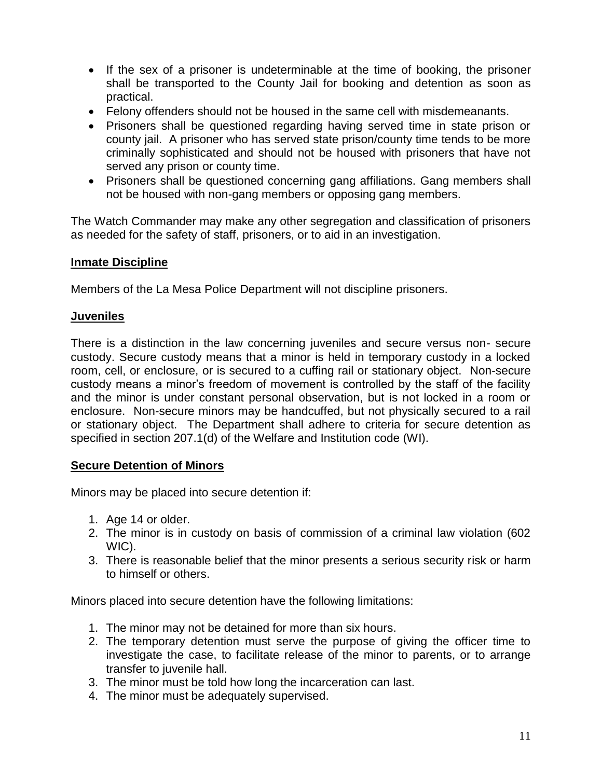- If the sex of a prisoner is undeterminable at the time of booking, the prisoner shall be transported to the County Jail for booking and detention as soon as practical.
- Felony offenders should not be housed in the same cell with misdemeanants.
- Prisoners shall be questioned regarding having served time in state prison or county jail. A prisoner who has served state prison/county time tends to be more criminally sophisticated and should not be housed with prisoners that have not served any prison or county time.
- Prisoners shall be questioned concerning gang affiliations. Gang members shall not be housed with non-gang members or opposing gang members.

The Watch Commander may make any other segregation and classification of prisoners as needed for the safety of staff, prisoners, or to aid in an investigation.

## **Inmate Discipline**

Members of the La Mesa Police Department will not discipline prisoners.

#### **Juveniles**

There is a distinction in the law concerning juveniles and secure versus non- secure custody. Secure custody means that a minor is held in temporary custody in a locked room, cell, or enclosure, or is secured to a cuffing rail or stationary object. Non-secure custody means a minor's freedom of movement is controlled by the staff of the facility and the minor is under constant personal observation, but is not locked in a room or enclosure. Non-secure minors may be handcuffed, but not physically secured to a rail or stationary object. The Department shall adhere to criteria for secure detention as specified in section 207.1(d) of the Welfare and Institution code (WI).

## **Secure Detention of Minors**

Minors may be placed into secure detention if:

- 1. Age 14 or older.
- 2. The minor is in custody on basis of commission of a criminal law violation (602 WIC).
- 3. There is reasonable belief that the minor presents a serious security risk or harm to himself or others.

Minors placed into secure detention have the following limitations:

- 1. The minor may not be detained for more than six hours.
- 2. The temporary detention must serve the purpose of giving the officer time to investigate the case, to facilitate release of the minor to parents, or to arrange transfer to juvenile hall.
- 3. The minor must be told how long the incarceration can last.
- 4. The minor must be adequately supervised.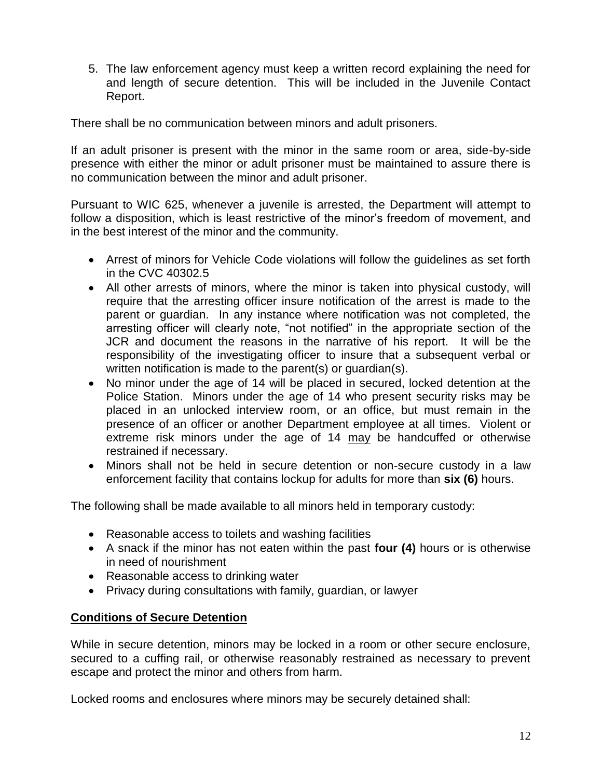5. The law enforcement agency must keep a written record explaining the need for and length of secure detention. This will be included in the Juvenile Contact Report.

There shall be no communication between minors and adult prisoners.

If an adult prisoner is present with the minor in the same room or area, side-by-side presence with either the minor or adult prisoner must be maintained to assure there is no communication between the minor and adult prisoner.

Pursuant to WIC 625, whenever a juvenile is arrested, the Department will attempt to follow a disposition, which is least restrictive of the minor's freedom of movement, and in the best interest of the minor and the community.

- Arrest of minors for Vehicle Code violations will follow the guidelines as set forth in the CVC 40302.5
- All other arrests of minors, where the minor is taken into physical custody, will require that the arresting officer insure notification of the arrest is made to the parent or guardian. In any instance where notification was not completed, the arresting officer will clearly note, "not notified" in the appropriate section of the JCR and document the reasons in the narrative of his report. It will be the responsibility of the investigating officer to insure that a subsequent verbal or written notification is made to the parent(s) or guardian(s).
- No minor under the age of 14 will be placed in secured, locked detention at the Police Station. Minors under the age of 14 who present security risks may be placed in an unlocked interview room, or an office, but must remain in the presence of an officer or another Department employee at all times. Violent or extreme risk minors under the age of 14 may be handcuffed or otherwise restrained if necessary.
- Minors shall not be held in secure detention or non-secure custody in a law enforcement facility that contains lockup for adults for more than **six (6)** hours.

The following shall be made available to all minors held in temporary custody:

- Reasonable access to toilets and washing facilities
- A snack if the minor has not eaten within the past **four (4)** hours or is otherwise in need of nourishment
- Reasonable access to drinking water
- Privacy during consultations with family, guardian, or lawyer

## **Conditions of Secure Detention**

While in secure detention, minors may be locked in a room or other secure enclosure, secured to a cuffing rail, or otherwise reasonably restrained as necessary to prevent escape and protect the minor and others from harm.

Locked rooms and enclosures where minors may be securely detained shall: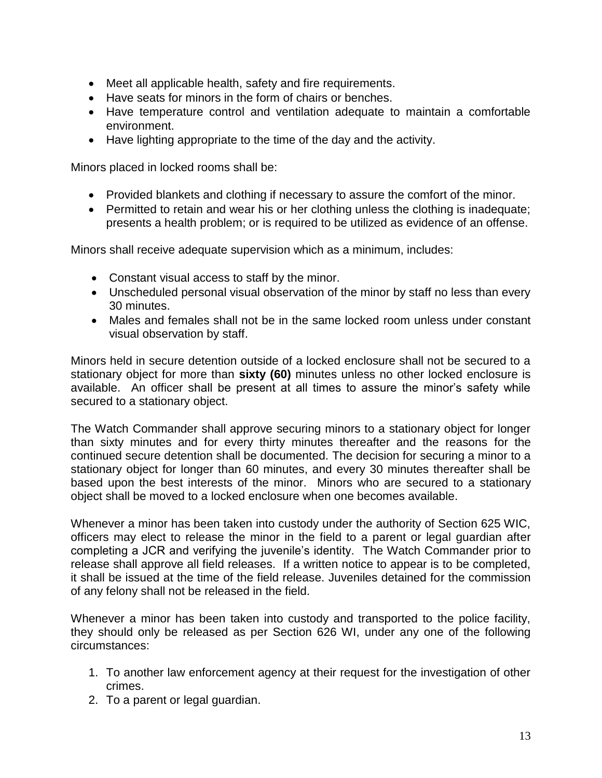- Meet all applicable health, safety and fire requirements.
- Have seats for minors in the form of chairs or benches.
- Have temperature control and ventilation adequate to maintain a comfortable environment.
- Have lighting appropriate to the time of the day and the activity.

Minors placed in locked rooms shall be:

- Provided blankets and clothing if necessary to assure the comfort of the minor.
- Permitted to retain and wear his or her clothing unless the clothing is inadequate; presents a health problem; or is required to be utilized as evidence of an offense.

Minors shall receive adequate supervision which as a minimum, includes:

- Constant visual access to staff by the minor.
- Unscheduled personal visual observation of the minor by staff no less than every 30 minutes.
- Males and females shall not be in the same locked room unless under constant visual observation by staff.

Minors held in secure detention outside of a locked enclosure shall not be secured to a stationary object for more than **sixty (60)** minutes unless no other locked enclosure is available. An officer shall be present at all times to assure the minor's safety while secured to a stationary object.

The Watch Commander shall approve securing minors to a stationary object for longer than sixty minutes and for every thirty minutes thereafter and the reasons for the continued secure detention shall be documented. The decision for securing a minor to a stationary object for longer than 60 minutes, and every 30 minutes thereafter shall be based upon the best interests of the minor. Minors who are secured to a stationary object shall be moved to a locked enclosure when one becomes available.

Whenever a minor has been taken into custody under the authority of Section 625 WIC, officers may elect to release the minor in the field to a parent or legal guardian after completing a JCR and verifying the juvenile's identity. The Watch Commander prior to release shall approve all field releases. If a written notice to appear is to be completed, it shall be issued at the time of the field release. Juveniles detained for the commission of any felony shall not be released in the field.

Whenever a minor has been taken into custody and transported to the police facility, they should only be released as per Section 626 WI, under any one of the following circumstances:

- 1. To another law enforcement agency at their request for the investigation of other crimes.
- 2. To a parent or legal guardian.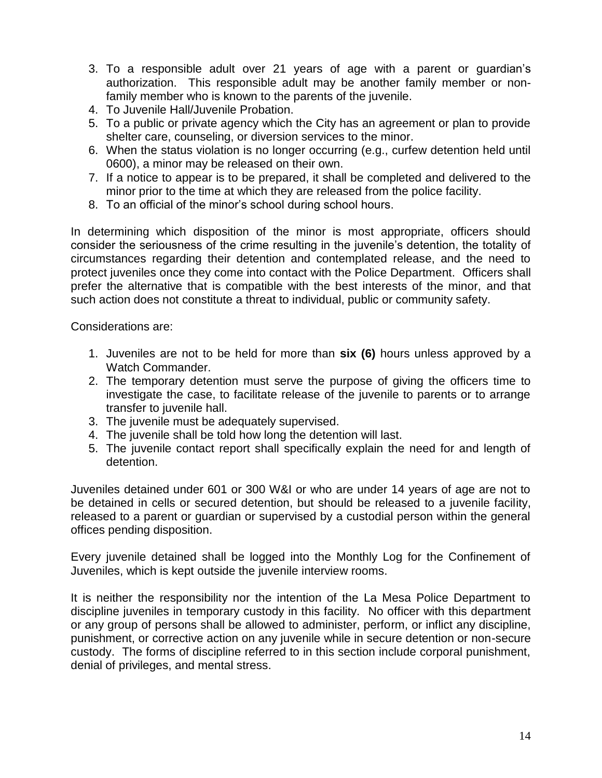- 3. To a responsible adult over 21 years of age with a parent or guardian's authorization. This responsible adult may be another family member or nonfamily member who is known to the parents of the juvenile.
- 4. To Juvenile Hall/Juvenile Probation.
- 5. To a public or private agency which the City has an agreement or plan to provide shelter care, counseling, or diversion services to the minor.
- 6. When the status violation is no longer occurring (e.g., curfew detention held until 0600), a minor may be released on their own.
- 7. If a notice to appear is to be prepared, it shall be completed and delivered to the minor prior to the time at which they are released from the police facility.
- 8. To an official of the minor's school during school hours.

In determining which disposition of the minor is most appropriate, officers should consider the seriousness of the crime resulting in the juvenile's detention, the totality of circumstances regarding their detention and contemplated release, and the need to protect juveniles once they come into contact with the Police Department. Officers shall prefer the alternative that is compatible with the best interests of the minor, and that such action does not constitute a threat to individual, public or community safety.

Considerations are:

- 1. Juveniles are not to be held for more than **six (6)** hours unless approved by a Watch Commander.
- 2. The temporary detention must serve the purpose of giving the officers time to investigate the case, to facilitate release of the juvenile to parents or to arrange transfer to juvenile hall.
- 3. The juvenile must be adequately supervised.
- 4. The juvenile shall be told how long the detention will last.
- 5. The juvenile contact report shall specifically explain the need for and length of detention.

Juveniles detained under 601 or 300 W&I or who are under 14 years of age are not to be detained in cells or secured detention, but should be released to a juvenile facility, released to a parent or guardian or supervised by a custodial person within the general offices pending disposition.

Every juvenile detained shall be logged into the Monthly Log for the Confinement of Juveniles, which is kept outside the juvenile interview rooms.

It is neither the responsibility nor the intention of the La Mesa Police Department to discipline juveniles in temporary custody in this facility. No officer with this department or any group of persons shall be allowed to administer, perform, or inflict any discipline, punishment, or corrective action on any juvenile while in secure detention or non-secure custody. The forms of discipline referred to in this section include corporal punishment, denial of privileges, and mental stress.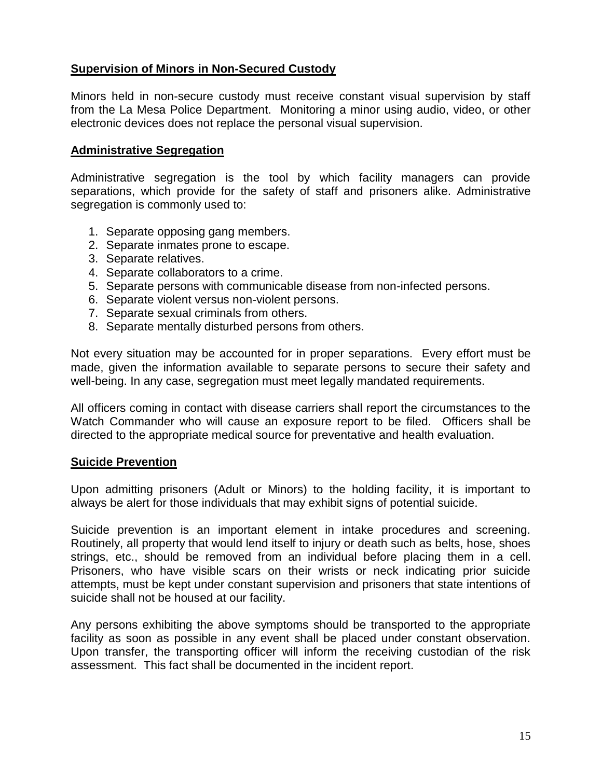# **Supervision of Minors in Non-Secured Custody**

Minors held in non-secure custody must receive constant visual supervision by staff from the La Mesa Police Department. Monitoring a minor using audio, video, or other electronic devices does not replace the personal visual supervision.

## **Administrative Segregation**

Administrative segregation is the tool by which facility managers can provide separations, which provide for the safety of staff and prisoners alike. Administrative segregation is commonly used to:

- 1. Separate opposing gang members.
- 2. Separate inmates prone to escape.
- 3. Separate relatives.
- 4. Separate collaborators to a crime.
- 5. Separate persons with communicable disease from non-infected persons.
- 6. Separate violent versus non-violent persons.
- 7. Separate sexual criminals from others.
- 8. Separate mentally disturbed persons from others.

Not every situation may be accounted for in proper separations. Every effort must be made, given the information available to separate persons to secure their safety and well-being. In any case, segregation must meet legally mandated requirements.

All officers coming in contact with disease carriers shall report the circumstances to the Watch Commander who will cause an exposure report to be filed. Officers shall be directed to the appropriate medical source for preventative and health evaluation.

## **Suicide Prevention**

Upon admitting prisoners (Adult or Minors) to the holding facility, it is important to always be alert for those individuals that may exhibit signs of potential suicide.

Suicide prevention is an important element in intake procedures and screening. Routinely, all property that would lend itself to injury or death such as belts, hose, shoes strings, etc., should be removed from an individual before placing them in a cell. Prisoners, who have visible scars on their wrists or neck indicating prior suicide attempts, must be kept under constant supervision and prisoners that state intentions of suicide shall not be housed at our facility.

Any persons exhibiting the above symptoms should be transported to the appropriate facility as soon as possible in any event shall be placed under constant observation. Upon transfer, the transporting officer will inform the receiving custodian of the risk assessment. This fact shall be documented in the incident report.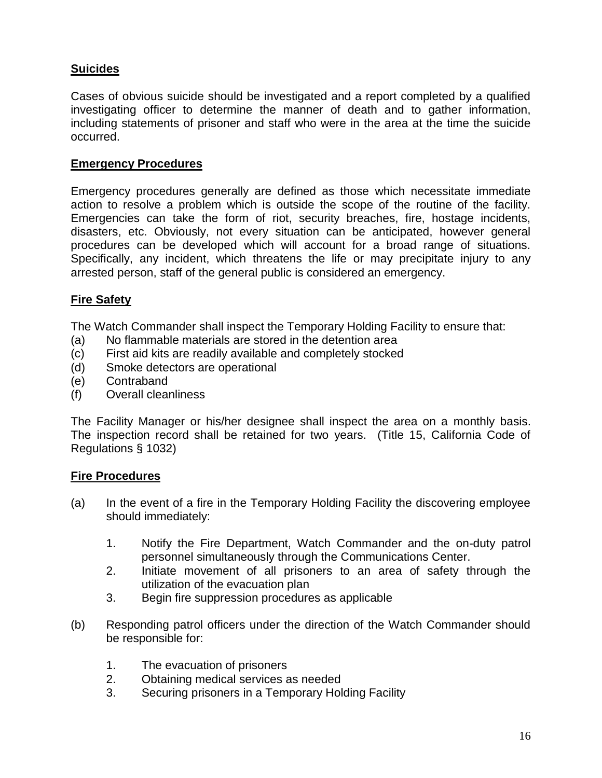# **Suicides**

Cases of obvious suicide should be investigated and a report completed by a qualified investigating officer to determine the manner of death and to gather information, including statements of prisoner and staff who were in the area at the time the suicide occurred.

## **Emergency Procedures**

Emergency procedures generally are defined as those which necessitate immediate action to resolve a problem which is outside the scope of the routine of the facility. Emergencies can take the form of riot, security breaches, fire, hostage incidents, disasters, etc. Obviously, not every situation can be anticipated, however general procedures can be developed which will account for a broad range of situations. Specifically, any incident, which threatens the life or may precipitate injury to any arrested person, staff of the general public is considered an emergency.

## **Fire Safety**

The Watch Commander shall inspect the Temporary Holding Facility to ensure that:

- (a) No flammable materials are stored in the detention area
- (c) First aid kits are readily available and completely stocked
- (d) Smoke detectors are operational
- (e) Contraband
- (f) Overall cleanliness

The Facility Manager or his/her designee shall inspect the area on a monthly basis. The inspection record shall be retained for two years. (Title 15, California Code of Regulations § 1032)

## **Fire Procedures**

- (a) In the event of a fire in the Temporary Holding Facility the discovering employee should immediately:
	- 1. Notify the Fire Department, Watch Commander and the on-duty patrol personnel simultaneously through the Communications Center.
	- 2. Initiate movement of all prisoners to an area of safety through the utilization of the evacuation plan
	- 3. Begin fire suppression procedures as applicable
- (b) Responding patrol officers under the direction of the Watch Commander should be responsible for:
	- 1. The evacuation of prisoners
	- 2. Obtaining medical services as needed
	- 3. Securing prisoners in a Temporary Holding Facility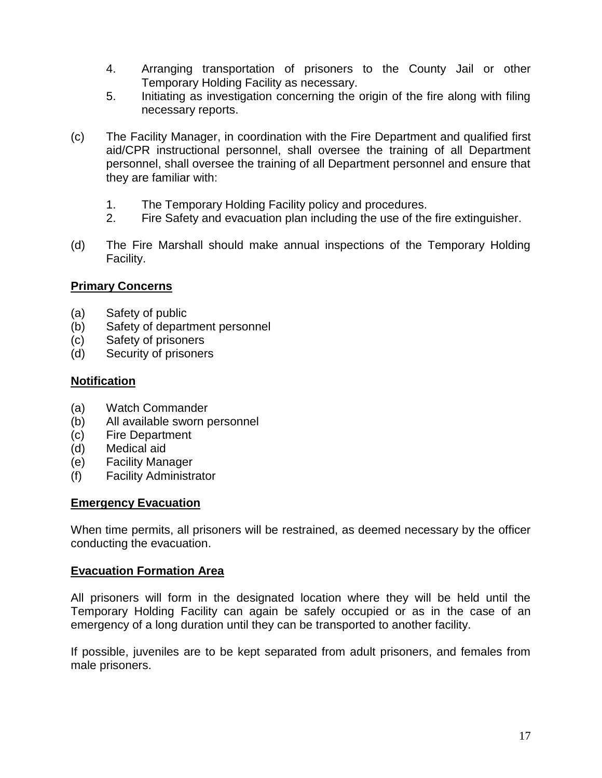- 4. Arranging transportation of prisoners to the County Jail or other Temporary Holding Facility as necessary.
- 5. Initiating as investigation concerning the origin of the fire along with filing necessary reports.
- (c) The Facility Manager, in coordination with the Fire Department and qualified first aid/CPR instructional personnel, shall oversee the training of all Department personnel, shall oversee the training of all Department personnel and ensure that they are familiar with:
	- 1. The Temporary Holding Facility policy and procedures.
	- 2. Fire Safety and evacuation plan including the use of the fire extinguisher.
- (d) The Fire Marshall should make annual inspections of the Temporary Holding Facility.

## **Primary Concerns**

- (a) Safety of public
- (b) Safety of department personnel
- (c) Safety of prisoners
- (d) Security of prisoners

## **Notification**

- (a) Watch Commander
- (b) All available sworn personnel
- (c) Fire Department
- (d) Medical aid
- (e) Facility Manager
- (f) Facility Administrator

## **Emergency Evacuation**

When time permits, all prisoners will be restrained, as deemed necessary by the officer conducting the evacuation.

## **Evacuation Formation Area**

All prisoners will form in the designated location where they will be held until the Temporary Holding Facility can again be safely occupied or as in the case of an emergency of a long duration until they can be transported to another facility.

If possible, juveniles are to be kept separated from adult prisoners, and females from male prisoners.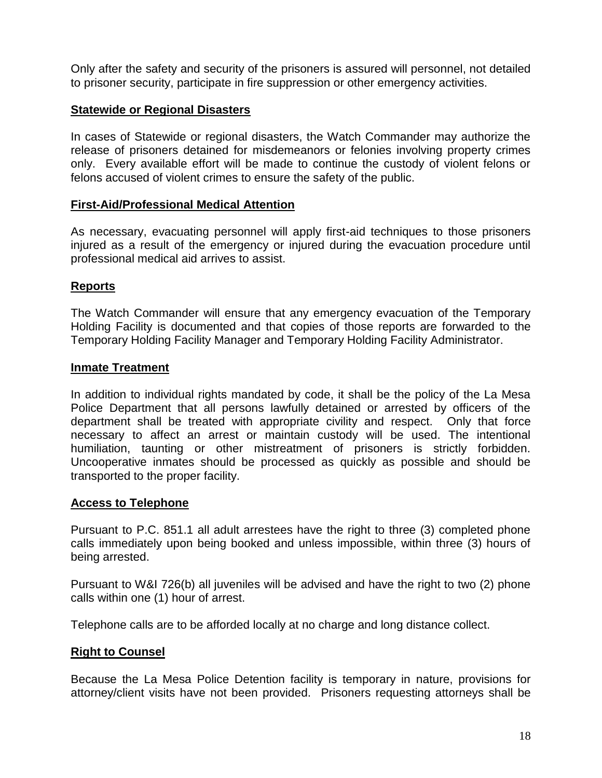Only after the safety and security of the prisoners is assured will personnel, not detailed to prisoner security, participate in fire suppression or other emergency activities.

## **Statewide or Regional Disasters**

In cases of Statewide or regional disasters, the Watch Commander may authorize the release of prisoners detained for misdemeanors or felonies involving property crimes only. Every available effort will be made to continue the custody of violent felons or felons accused of violent crimes to ensure the safety of the public.

## **First-Aid/Professional Medical Attention**

As necessary, evacuating personnel will apply first-aid techniques to those prisoners injured as a result of the emergency or injured during the evacuation procedure until professional medical aid arrives to assist.

## **Reports**

The Watch Commander will ensure that any emergency evacuation of the Temporary Holding Facility is documented and that copies of those reports are forwarded to the Temporary Holding Facility Manager and Temporary Holding Facility Administrator.

## **Inmate Treatment**

In addition to individual rights mandated by code, it shall be the policy of the La Mesa Police Department that all persons lawfully detained or arrested by officers of the department shall be treated with appropriate civility and respect. Only that force necessary to affect an arrest or maintain custody will be used. The intentional humiliation, taunting or other mistreatment of prisoners is strictly forbidden. Uncooperative inmates should be processed as quickly as possible and should be transported to the proper facility.

## **Access to Telephone**

Pursuant to P.C. 851.1 all adult arrestees have the right to three (3) completed phone calls immediately upon being booked and unless impossible, within three (3) hours of being arrested.

Pursuant to W&I 726(b) all juveniles will be advised and have the right to two (2) phone calls within one (1) hour of arrest.

Telephone calls are to be afforded locally at no charge and long distance collect.

# **Right to Counsel**

Because the La Mesa Police Detention facility is temporary in nature, provisions for attorney/client visits have not been provided. Prisoners requesting attorneys shall be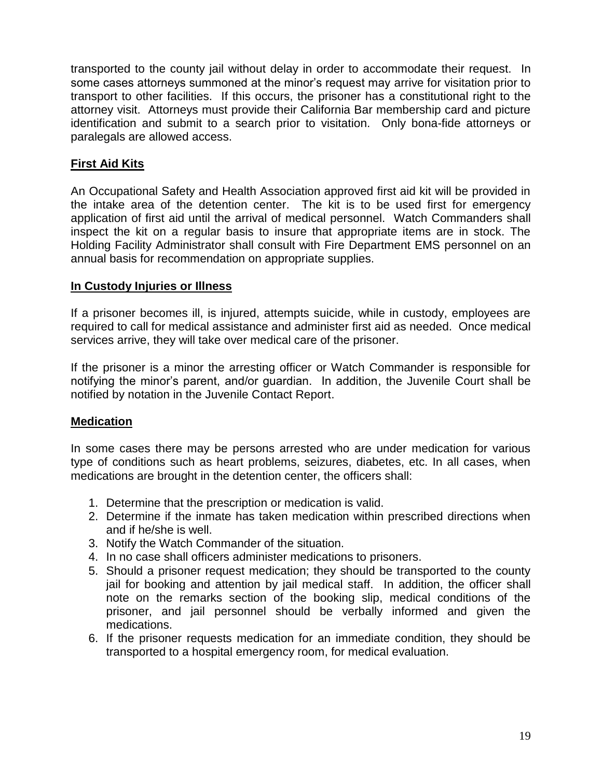transported to the county jail without delay in order to accommodate their request. In some cases attorneys summoned at the minor's request may arrive for visitation prior to transport to other facilities. If this occurs, the prisoner has a constitutional right to the attorney visit. Attorneys must provide their California Bar membership card and picture identification and submit to a search prior to visitation. Only bona-fide attorneys or paralegals are allowed access.

# **First Aid Kits**

An Occupational Safety and Health Association approved first aid kit will be provided in the intake area of the detention center. The kit is to be used first for emergency application of first aid until the arrival of medical personnel. Watch Commanders shall inspect the kit on a regular basis to insure that appropriate items are in stock. The Holding Facility Administrator shall consult with Fire Department EMS personnel on an annual basis for recommendation on appropriate supplies.

## **In Custody Injuries or Illness**

If a prisoner becomes ill, is injured, attempts suicide, while in custody, employees are required to call for medical assistance and administer first aid as needed. Once medical services arrive, they will take over medical care of the prisoner.

If the prisoner is a minor the arresting officer or Watch Commander is responsible for notifying the minor's parent, and/or guardian. In addition, the Juvenile Court shall be notified by notation in the Juvenile Contact Report.

## **Medication**

In some cases there may be persons arrested who are under medication for various type of conditions such as heart problems, seizures, diabetes, etc. In all cases, when medications are brought in the detention center, the officers shall:

- 1. Determine that the prescription or medication is valid.
- 2. Determine if the inmate has taken medication within prescribed directions when and if he/she is well.
- 3. Notify the Watch Commander of the situation.
- 4. In no case shall officers administer medications to prisoners.
- 5. Should a prisoner request medication; they should be transported to the county jail for booking and attention by jail medical staff. In addition, the officer shall note on the remarks section of the booking slip, medical conditions of the prisoner, and jail personnel should be verbally informed and given the medications.
- 6. If the prisoner requests medication for an immediate condition, they should be transported to a hospital emergency room, for medical evaluation.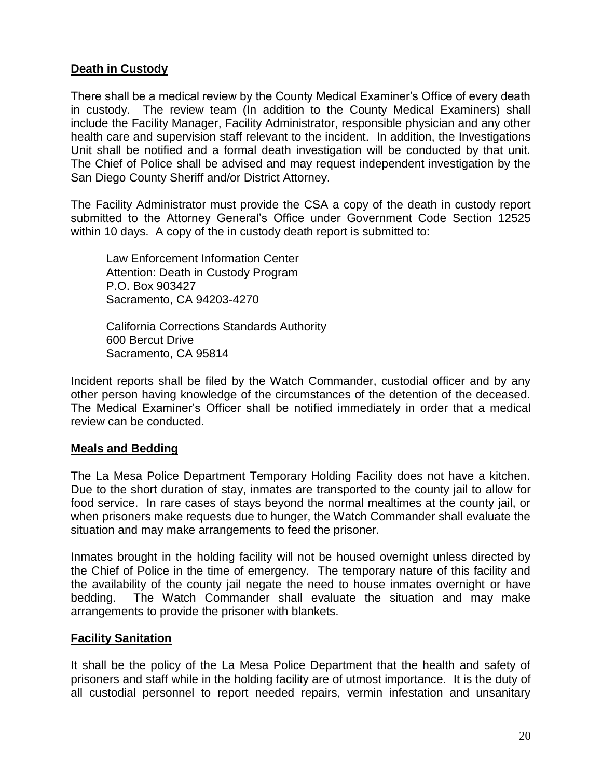# **Death in Custody**

There shall be a medical review by the County Medical Examiner's Office of every death in custody. The review team (In addition to the County Medical Examiners) shall include the Facility Manager, Facility Administrator, responsible physician and any other health care and supervision staff relevant to the incident. In addition, the Investigations Unit shall be notified and a formal death investigation will be conducted by that unit. The Chief of Police shall be advised and may request independent investigation by the San Diego County Sheriff and/or District Attorney.

The Facility Administrator must provide the CSA a copy of the death in custody report submitted to the Attorney General's Office under Government Code Section 12525 within 10 days. A copy of the in custody death report is submitted to:

Law Enforcement Information Center Attention: Death in Custody Program P.O. Box 903427 Sacramento, CA 94203-4270

California Corrections Standards Authority 600 Bercut Drive Sacramento, CA 95814

Incident reports shall be filed by the Watch Commander, custodial officer and by any other person having knowledge of the circumstances of the detention of the deceased. The Medical Examiner's Officer shall be notified immediately in order that a medical review can be conducted.

## **Meals and Bedding**

The La Mesa Police Department Temporary Holding Facility does not have a kitchen. Due to the short duration of stay, inmates are transported to the county jail to allow for food service. In rare cases of stays beyond the normal mealtimes at the county jail, or when prisoners make requests due to hunger, the Watch Commander shall evaluate the situation and may make arrangements to feed the prisoner.

Inmates brought in the holding facility will not be housed overnight unless directed by the Chief of Police in the time of emergency. The temporary nature of this facility and the availability of the county jail negate the need to house inmates overnight or have bedding. The Watch Commander shall evaluate the situation and may make arrangements to provide the prisoner with blankets.

## **Facility Sanitation**

It shall be the policy of the La Mesa Police Department that the health and safety of prisoners and staff while in the holding facility are of utmost importance. It is the duty of all custodial personnel to report needed repairs, vermin infestation and unsanitary